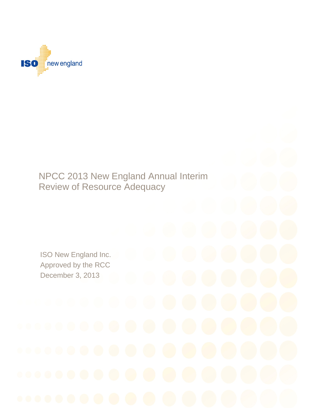

# Review of Resource Adequacy NPCC 2013 New England Annual Interim

ISO New England Inc. ISO New England Inc. Approved by the RCC December 3, 2013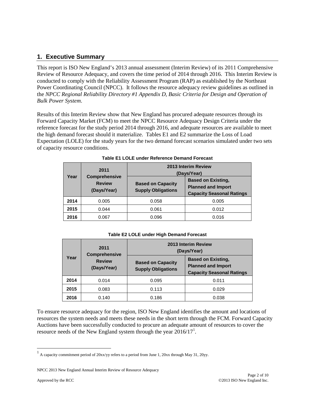# **1. Executive Summary**

This report is ISO New England's 2013 annual assessment (Interim Review) of its 2011 Comprehensive Review of Resource Adequacy, and covers the time period of 2014 through 2016. This Interim Review is conducted to comply with the Reliability Assessment Program (RAP) as established by the Northeast Power Coordinating Council (NPCC). It follows the resource adequacy review guidelines as outlined in the *NPCC Regional Reliability Directory #1 Appendix D, Basic Criteria for Design and Operation of Bulk Power System*.

Results of this Interim Review show that New England has procured adequate resources through its Forward Capacity Market (FCM) to meet the NPCC Resource Adequacy Design Criteria under the reference forecast for the study period 2014 through 2016, and adequate resources are available to meet the high demand forecast should it materialize. Tables E1 and E2 summarize the Loss of Load Expectation (LOLE) for the study years for the two demand forecast scenarios simulated under two sets of capacity resource conditions.

|      | 2011                                                 |                                                       | 2013 Interim Review<br>(Days/Year)                                                         |  |
|------|------------------------------------------------------|-------------------------------------------------------|--------------------------------------------------------------------------------------------|--|
| Year | <b>Comprehensive</b><br><b>Review</b><br>(Days/Year) | <b>Based on Capacity</b><br><b>Supply Obligations</b> | <b>Based on Existing,</b><br><b>Planned and Import</b><br><b>Capacity Seasonal Ratings</b> |  |
| 2014 | 0.005                                                | 0.058                                                 | 0.005                                                                                      |  |
| 2015 | 0.044                                                | 0.061                                                 | 0.012                                                                                      |  |
| 2016 | 0.067                                                | 0.096                                                 | 0.016                                                                                      |  |

**Table E2 LOLE under High Demand Forecast**

|      | 2011<br><b>Comprehensive</b> | 2013 Interim Review<br>(Days/Year)                    |                                                                                            |
|------|------------------------------|-------------------------------------------------------|--------------------------------------------------------------------------------------------|
| Year | <b>Review</b><br>(Days/Year) | <b>Based on Capacity</b><br><b>Supply Obligations</b> | <b>Based on Existing,</b><br><b>Planned and Import</b><br><b>Capacity Seasonal Ratings</b> |
| 2014 | 0.014                        | 0.095                                                 | 0.011                                                                                      |
| 2015 | 0.083                        | 0.113                                                 | 0.029                                                                                      |
| 2016 | 0.140                        | 0.186                                                 | 0.038                                                                                      |

To ensure resource adequacy for the region, ISO New England identifies the amount and locations of resources the system needs and meets these needs in the short term through the FCM. Forward Capacity Auctions have been successfully conducted to procure an adequate amount of resources to cover the resource needs of the New England system through the year  $2016/17<sup>1</sup>$  $2016/17<sup>1</sup>$  $2016/17<sup>1</sup>$ .

<span id="page-1-0"></span> $1$  A capacity commitment period of 20xx/yy refers to a period from June 1, 20xx through May 31, 20yy.

NPCC 2013 New England Annual Interim Review of Resource Adequacy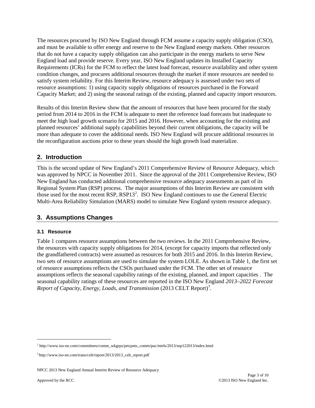The resources procured by ISO New England through FCM assume a capacity supply obligation (CSO), and must be available to offer energy and reserve to the New England energy markets. Other resources that do not have a capacity supply obligation can also participate in the energy markets to serve New England load and provide reserve. Every year, ISO New England updates its Installed Capacity Requirements (ICRs) for the FCM to reflect the latest load forecast, resource availability and other system condition changes, and procures additional resources through the market if more resources are needed to satisfy system reliability. For this Interim Review, resource adequacy is assessed under two sets of resource assumptions: 1) using capacity supply obligations of resources purchased in the Forward Capacity Market; and 2) using the seasonal ratings of the existing, planned and capacity import resources.

Results of this Interim Review show that the amount of resources that have been procured for the study period from 2014 to 2016 in the FCM is adequate to meet the reference load forecasts but inadequate to meet the high load growth scenario for 2015 and 2016. However, when accounting for the existing and planned resources' additional supply capabilities beyond their current obligations, the capacity will be more than adequate to cover the additional needs. ISO New England will procure additional resources in the reconfiguration auctions prior to these years should the high growth load materialize.

## **2. Introduction**

This is the second update of New England's 2011 Comprehensive Review of Resource Adequacy, which was approved by NPCC in November 2011. Since the approval of the 2011 Comprehensive Review, ISO New England has conducted additional comprehensive resource adequacy assessments as part of its Regional System Plan (RSP) process. The major assumptions of this Interim Review are consistent with those used for the most recent RSP, RSP13<sup>[2](#page-2-0)</sup>. ISO New England continues to use the General Electric Multi-Area Reliability Simulation (MARS) model to simulate New England system resource adequacy.

# **3. Assumptions Changes**

#### **3.1 Resource**

Table 1 compares resource assumptions between the two reviews. In the 2011 Comprehensive Review, the resources with capacity supply obligations for 2014, (except for capacity imports that reflected only the grandfathered contracts) were assumed as resources for both 2015 and 2016. In this Interim Review, two sets of resource assumptions are used to simulate the system LOLE. As shown in Table 1, the first set of resource assumptions reflects the CSOs purchased under the FCM. The other set of resource assumptions reflects the seasonal capability ratings of the existing, planned, and import capacities . The seasonal capability ratings of these resources are reported in the ISO New England *2013–2022 Forecast*  Report of Capacity, Energy, Loads, and Transmission (201[3](#page-2-1) CELT Report)<sup>3</sup>.

 $\overline{a}$ 

<span id="page-2-0"></span><sup>&</sup>lt;sup>2</sup> http://www.iso-ne.com/committees/comm\_wkgrps/prtcpnts\_comm/pac/mtrls/2013/sep122013/index.html

<span id="page-2-1"></span>*<sup>3</sup>* http://www.iso-ne.com/trans/celt/report/2013/2013\_celt\_report.pdf

NPCC 2013 New England Annual Interim Review of Resource Adequacy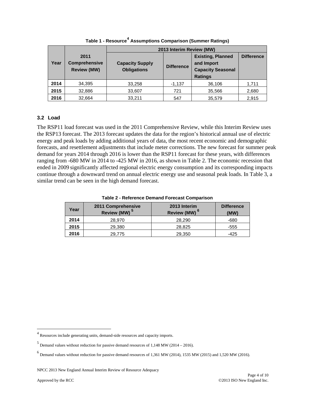|      |                                                    | 2013 Interim Review (MW)                     |                   |                                                                                      |                   |
|------|----------------------------------------------------|----------------------------------------------|-------------------|--------------------------------------------------------------------------------------|-------------------|
| Year | 2011<br><b>Comprehensive</b><br><b>Review (MW)</b> | <b>Capacity Supply</b><br><b>Obligations</b> | <b>Difference</b> | <b>Existing, Planned</b><br>and Import<br><b>Capacity Seasonal</b><br><b>Ratings</b> | <b>Difference</b> |
| 2014 | 34,395                                             | 33,258                                       | $-1,137$          | 36,106                                                                               | 1,711             |
| 2015 | 32,886                                             | 33,607                                       | 721               | 35,566                                                                               | 2,680             |
| 2016 | 32.664                                             | 33.211                                       | 547               | 35.579                                                                               | 2.915             |

**Table 1 - Resource[4](#page-3-0) Assumptions Comparison (Summer Ratings)**

#### **3.2 Load**

The RSP11 load forecast was used in the 2011 Comprehensive Review, while this Interim Review uses the RSP13 forecast. The 2013 forecast updates the data for the region's historical annual use of electric energy and peak loads by adding additional years of data, the most recent economic and demographic forecasts, and resettlement adjustments that include meter corrections. The new forecast for summer peak demand for years 2014 through 2016 is lower than the RSP11 forecast for these years, with differences ranging from -680 MW in 2014 to -425 MW in 2016, as shown in Table 2. The economic recession that ended in 2009 significantly affected regional electric energy consumption and its corresponding impacts continue through a downward trend on annual electric energy use and seasonal peak loads. In Table 3, a similar trend can be seen in the high demand forecast.

**Table 2 - Reference Demand Forecast Comparison**

| Year | 2011 Comprehensive<br>Review (MW) <sup>5</sup> | 2013 Interim<br>Review (MW) <sup>6</sup> | <b>Difference</b><br>(MW) |
|------|------------------------------------------------|------------------------------------------|---------------------------|
| 2014 | 28.970                                         | 28.290                                   | -680                      |
| 2015 | 29,380                                         | 28.825                                   | -555                      |
| 2016 | 29.775                                         | 29,350                                   | -425                      |

<span id="page-3-0"></span> <sup>4</sup> Resources include generating units, demand-side resources and capacity imports.

<span id="page-3-1"></span> $<sup>5</sup>$  Demand values without reduction for passive demand resources of 1,148 MW (2014 – 2016).</sup>

<span id="page-3-2"></span> $<sup>6</sup>$  Demand values without reduction for passive demand resources of 1,361 MW (2014), 1535 MW (2015) and 1,520 MW (2016).</sup>

NPCC 2013 New England Annual Interim Review of Resource Adequacy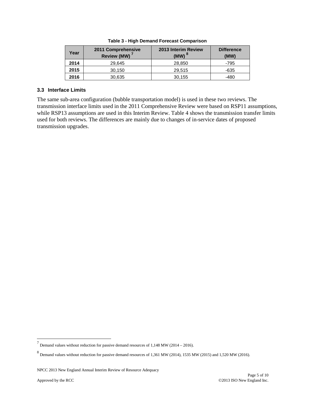| 2011 Comprehensive<br><b>Year</b><br><b>Review (MW)</b> |        | 2013 Interim Review<br>(MW) <sup>8</sup> | <b>Difference</b><br>(MW) |
|---------------------------------------------------------|--------|------------------------------------------|---------------------------|
| 2014                                                    | 29.645 | 28,850                                   | -795                      |
| 2015                                                    | 30.150 | 29.515                                   | -635                      |
| 2016                                                    | 30,635 | 30,155                                   | -480                      |

#### **3.3 Interface Limits**

The same sub-area configuration (bubble transportation model) is used in these two reviews. The transmission interface limits used in the 2011 Comprehensive Review were based on RSP11 assumptions, while RSP13 assumptions are used in this Interim Review. Table 4 shows the transmission transfer limits used for both reviews. The differences are mainly due to changes of in-service dates of proposed transmission upgrades.

<span id="page-4-0"></span> $<sup>7</sup>$  Demand values without reduction for passive demand resources of 1,148 MW (2014 – 2016).</sup>

<span id="page-4-1"></span><sup>8</sup> Demand values without reduction for passive demand resources of 1,361 MW (2014), 1535 MW (2015) and 1,520 MW (2016).

NPCC 2013 New England Annual Interim Review of Resource Adequacy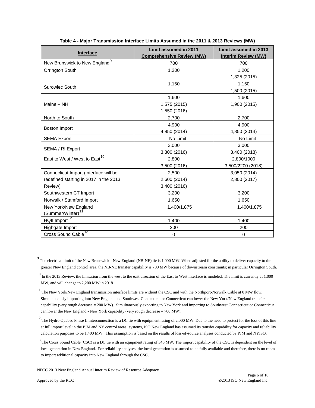| Interface                                                                                  | <b>Limit assumed in 2011</b><br><b>Comprehensive Review (MW)</b> | <b>Limit assumed in 2013</b><br><b>Interim Review (MW)</b> |
|--------------------------------------------------------------------------------------------|------------------------------------------------------------------|------------------------------------------------------------|
| New Brunswick to New England <sup>9</sup>                                                  | 700                                                              | 700                                                        |
| Orrington South                                                                            | 1,200                                                            | 1,200<br>1,325 (2015)                                      |
| Surowiec South                                                                             | 1,150                                                            | 1,150<br>1,500 (2015)                                      |
| Maine - NH                                                                                 | 1,600<br>1,575 (2015)<br>1,550 (2016)                            | 1,600<br>1,900 (2015)                                      |
| North to South                                                                             | 2,700                                                            | 2,700                                                      |
| <b>Boston Import</b>                                                                       | 4.900<br>4,850 (2014)                                            | 4,900<br>4,850 (2014)                                      |
| <b>SEMA Export</b>                                                                         | No Limit                                                         | No Limit                                                   |
| SEMA / RI Export                                                                           | 3.000<br>3,300 (2016)                                            | 3,000<br>3,400 (2018)                                      |
| East to West / West to East <sup>10</sup>                                                  | 2,800<br>3,500 (2016)                                            | 2,800/1000<br>3,500/2200 (2018)                            |
| Connecticut Import (interface will be<br>redefined starting in 2017 in the 2013<br>Review) | 2,500<br>2,600 (2014)<br>3,400 (2016)                            | 3,050 (2014)<br>2,800 (2017)                               |
| Southwestern CT Import                                                                     | 3,200                                                            | 3,200                                                      |
| Norwalk / Stamford Import                                                                  | 1,650                                                            | 1,650                                                      |
| New York/New England<br>(Summer/Winter) <sup>11</sup>                                      | 1,400/1,875                                                      | 1,400/1,875                                                |
| HQII Import <sup>12</sup>                                                                  | 1,400                                                            | 1,400                                                      |
| Highgate Import                                                                            | 200                                                              | 200                                                        |
| Cross Sound Cable <sup>13</sup>                                                            | 0                                                                | $\mathbf 0$                                                |

**Table 4 - Major Transmission Interface Limits Assumed in the 2011 & 2013 Reviews (MW)**

<span id="page-5-0"></span> $9$  The electrical limit of the New Brunswick - New England (NB-NE) tie is 1,000 MW. When adjusted for the ability to deliver capacity to the greater New England control area, the NB-NE transfer capability is 700 MW because of downstream constraints; in particular Orrington South.

<span id="page-5-1"></span> $10$  In the 2013 Review, the limitation from the west to the east direction of the East to West interface is modeled. The limit is currently at 1,000 MW, and will change to 2,200 MW in 2018.

<span id="page-5-2"></span><sup>&</sup>lt;sup>11</sup> The New York/New England transmission interface limits are without the CSC and with the Northport-Norwalk Cable at 0 MW flow. Simultaneously importing into New England and Southwest Connecticut or Connecticut can lower the New York/New England transfer capability (very rough decrease = 200 MW). Simultaneously exporting to New York and importing to Southwest Connecticut or Connecticut can lower the New England - New York capability (very rough decrease = 700 MW).

<span id="page-5-3"></span> $12$  The Hydro Quebec Phase II interconnection is a DC tie with equipment rating of 2,000 MW. Due to the need to protect for the loss of this line at full import level in the PJM and NY control areas' systems, ISO New England has assumed its transfer capability for capacity and reliability calculation purposes to be 1,400 MW. This assumption is based on the results of loss-of-source analyses conducted by PJM and NYISO.

<span id="page-5-4"></span><sup>&</sup>lt;sup>13</sup> The Cross Sound Cable (CSC) is a DC tie with an equipment rating of 345 MW. The import capability of the CSC is dependent on the level of local generation in New England. For reliability analyses, the local generation is assumed to be fully available and therefore, there is no room to import additional capacity into New England through the CSC.

NPCC 2013 New England Annual Interim Review of Resource Adequacy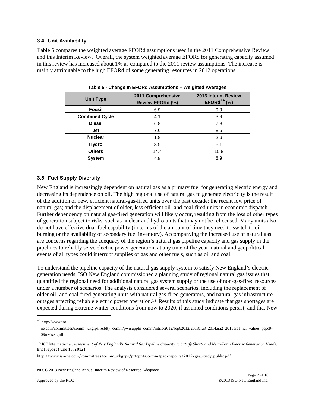#### **3.4 Unit Availability**

Table 5 compares the weighted average EFORd assumptions used in the 2011 Comprehensive Review and this Interim Review. Overall, the system weighted average EFORd for generating capacity assumed in this review has increased about 1% as compared to the 2011 review assumptions. The increase is mainly attributable to the high EFORd of some generating resources in 2012 operations.

| <b>Unit Type</b>      | 2011 Comprehensive<br><b>Review EFORd (%)</b> | 2013 Interim Review<br>EFORd $14$ (%) |
|-----------------------|-----------------------------------------------|---------------------------------------|
| <b>Fossil</b>         | 6.9                                           | 9.9                                   |
| <b>Combined Cycle</b> | 4.1                                           | 3.9                                   |
| <b>Diesel</b>         | 6.8                                           | 7.8                                   |
| Jet                   | 7.6                                           | 8.5                                   |
| <b>Nuclear</b>        | 1.8                                           | 2.6                                   |
| Hydro                 | 3.5                                           | 5.1                                   |
| <b>Others</b>         | 14.4                                          | 15.8                                  |
| <b>System</b>         | 4.9                                           | 5.9                                   |

**Table 5 - Change In EFORd Assumptions – Weighted Averages**

#### **3.5 Fuel Supply Diversity**

New England is increasingly dependent on natural gas as a primary fuel for generating electric energy and decreasing its dependence on oil. The high regional use of natural gas to generate electricity is the result of the addition of new, efficient natural-gas-fired units over the past decade; the recent low price of natural gas; and the displacement of older, less efficient oil- and coal-fired units in economic dispatch. Further dependency on natural gas-fired generation will likely occur, resulting from the loss of other types of generation subject to risks, such as nuclear and hydro units that may not be relicensed. Many units also do not have effective dual-fuel capability (in terms of the amount of time they need to switch to oil burning or the availability of secondary fuel inventory). Accompanying the increased use of natural gas are concerns regarding the adequacy of the region's natural gas pipeline capacity and gas supply in the pipelines to reliably serve electric power generation; at any time of the year, natural and geopolitical events of all types could interrupt supplies of gas and other fuels, such as oil and coal.

To understand the pipeline capacity of the natural gas supply system to satisfy New England's electric generation needs, ISO New England commissioned a planning study of regional natural gas issues that quantified the regional need for additional natural gas system supply or the use of non-gas-fired resources under a number of scenarios. The analysis considered several scenarios, including the replacement of older oil- and coal-fired generating units with natu[ral](#page-6-1) gas-fired generators, and natural gas infrastructure outages affecting reliable electric power operation.<sup>15</sup> Results of this study indicate that gas shortages are expected during extreme winter conditions from now to 2020, if assumed conditions persist, and that New

NPCC 2013 New England Annual Interim Review of Resource Adequacy

<span id="page-6-0"></span> <sup>14</sup> http://www.iso-

ne.com/committees/comm\_wkgrps/relblty\_comm/pwrsuppln\_comm/mtrls/2012/sep62012/2013ara3\_2014ara2\_2015ara1\_icr\_values\_pspc9- 06revised.pdf

<span id="page-6-1"></span><sup>15</sup> ICF International, *Assessment of New England's Natural Gas Pipeline Capacity to Satisfy Short- and Near-Term Electric Generation Needs*, final report (June 15, 2012),

http://www.iso-ne.com/committees/comm\_wkgrps/prtcpnts\_comm/pac/reports/2012/gas\_study\_public.pdf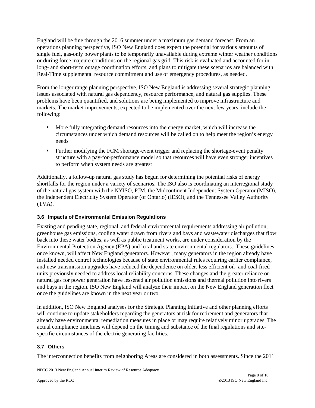England will be fine through the 2016 summer under a maximum gas demand forecast. From an operations planning perspective, ISO New England does expect the potential for various amounts of single fuel, gas-only power plants to be temporarily unavailable during extreme winter weather conditions or during force majeure conditions on the regional gas grid. This risk is evaluated and accounted for in long- and short-term outage coordination efforts, and plans to mitigate these scenarios are balanced with Real-Time supplemental resource commitment and use of emergency procedures, as needed.

From the longer range planning perspective, ISO New England is addressing several strategic planning issues associated with natural gas dependency, resource performance, and natural gas supplies. These problems have been quantified, and solutions are being implemented to improve infrastructure and markets. The market improvements, expected to be implemented over the next few years, include the following:

- **More fully integrating demand resources into the energy market, which will increase the** circumstances under which demand resources will be called on to help meet the region's energy needs
- Further modifying the FCM shortage-event trigger and replacing the shortage-event penalty structure with a pay-for-performance model so that resources will have even stronger incentives to perform when system needs are greatest

Additionally, a follow-up natural gas study has begun for determining the potential risks of energy shortfalls for the region under a variety of scenarios. The ISO also is coordinating an interregional study of the natural gas system with the NYISO, PJM, the Midcontinent Independent System Operator (MISO), the Independent Electricity System Operator (of Ontario) (IESO), and the Tennessee Valley Authority (TVA).

## **3.6 Impacts of Environmental Emission Regulations**

Existing and pending state, regional, and federal environmental requirements addressing air pollution, greenhouse gas emissions, cooling water drawn from rivers and bays and wastewater discharges that flow back into these water bodies, as well as public treatment works, are under consideration by the Environmental Protection Agency (EPA) and local and state environmental regulators. These guidelines, once known, will affect New England generators. However, many generators in the region already have installed needed control technologies because of state environmental rules requiring earlier compliance, and new transmission upgrades have reduced the dependence on older, less efficient oil- and coal-fired units previously needed to address local reliability concerns. These changes and the greater reliance on natural gas for power generation have lessened air pollution emissions and thermal pollution into rivers and bays in the region. ISO New England will analyze their impact on the New England generation fleet once the guidelines are known in the next year or two.

In addition, ISO New England analyses for the Strategic Planning Initiative and other planning efforts will continue to update stakeholders regarding the generators at risk for retirement and generators that already have environmental remediation measures in place or may require relatively minor upgrades. The actual compliance timelines will depend on the timing and substance of the final regulations and sitespecific circumstances of the electric generating facilities.

## **3.7 Others**

The interconnection benefits from neighboring Areas are considered in both assessments. Since the 2011

NPCC 2013 New England Annual Interim Review of Resource Adequacy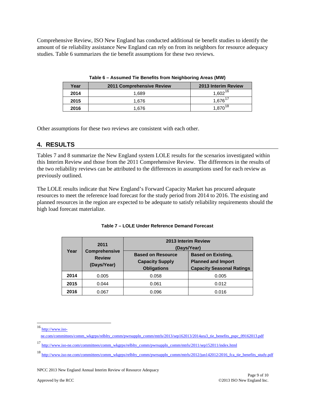Comprehensive Review, ISO New England has conducted additional tie benefit studies to identify the amount of tie reliability assistance New England can rely on from its neighbors for resource adequacy studies. Table 6 summarizes the tie benefit assumptions for these two reviews.

| Year | 2011 Comprehensive Review | <b>2013 Interim Review</b> |
|------|---------------------------|----------------------------|
| 2014 | 1.689                     | $1,602^{16}$               |
| 2015 | 1.676                     | $1.676$ <sup>11</sup>      |
| 2016 | 1.676                     | $1,870^{18}$               |

**Table 6 – Assumed Tie Benefits from Neighboring Areas (MW)**

Other assumptions for these two reviews are consistent with each other.

# **4. RESULTS**

Tables 7 and 8 summarize the New England system LOLE results for the scenarios investigated within this Interim Review and those from the 2011 Comprehensive Review. The differences in the results of the two reliability reviews can be attributed to the differences in assumptions used for each review as previously outlined.

The LOLE results indicate that New England's Forward Capacity Market has procured adequate resources to meet the reference load forecast for the study period from 2014 to 2016. The existing and planned resources in the region are expected to be adequate to satisfy reliability requirements should the high load forecast materialize.

| Year | 2011                                                 | 2013 Interim Review<br>(Days/Year)                                       |                                                                                            |
|------|------------------------------------------------------|--------------------------------------------------------------------------|--------------------------------------------------------------------------------------------|
|      | <b>Comprehensive</b><br><b>Review</b><br>(Days/Year) | <b>Based on Resource</b><br><b>Capacity Supply</b><br><b>Obligations</b> | <b>Based on Existing,</b><br><b>Planned and Import</b><br><b>Capacity Seasonal Ratings</b> |
| 2014 | 0.005                                                | 0.058                                                                    | 0.005                                                                                      |
| 2015 | 0.044                                                | 0.061                                                                    | 0.012                                                                                      |
| 2016 | 0.067                                                | 0.096                                                                    | 0.016                                                                                      |

| Table 7 – LOLE Under Reference Demand Forecast |  |  |
|------------------------------------------------|--|--|
|                                                |  |  |

<span id="page-8-0"></span><sup>16</sup> [http://www.iso-](http://www.iso-ne.com/committees/comm_wkgrps/relblty_comm/pwrsuppln_comm/mtrls/2013/sep162013/2014ara3_tie_benefits_pspc_09162013.pdf)

[ne.com/committees/comm\\_wkgrps/relblty\\_comm/pwrsuppln\\_comm/mtrls/2013/sep162013/2014ara3\\_tie\\_benefits\\_pspc\\_09162013.pdf](http://www.iso-ne.com/committees/comm_wkgrps/relblty_comm/pwrsuppln_comm/mtrls/2013/sep162013/2014ara3_tie_benefits_pspc_09162013.pdf)

<span id="page-8-1"></span><sup>17</sup> [http://www.iso-ne.com/committees/comm\\_wkgrps/relblty\\_comm/pwrsuppln\\_comm/mtrls/2011/sep152011/index.html](http://www.iso-ne.com/committees/comm_wkgrps/relblty_comm/pwrsuppln_comm/mtrls/2011/sep152011/index.html)

<span id="page-8-2"></span><sup>18</sup> [http://www.iso-ne.com/committees/comm\\_wkgrps/relblty\\_comm/pwrsuppln\\_comm/mtrls/2012/jun142012/2016\\_fca\\_tie\\_benefits\\_study.pdf](http://www.iso-ne.com/committees/comm_wkgrps/relblty_comm/pwrsuppln_comm/mtrls/2012/jun142012/2016_fca_tie_benefits_study.pdf)